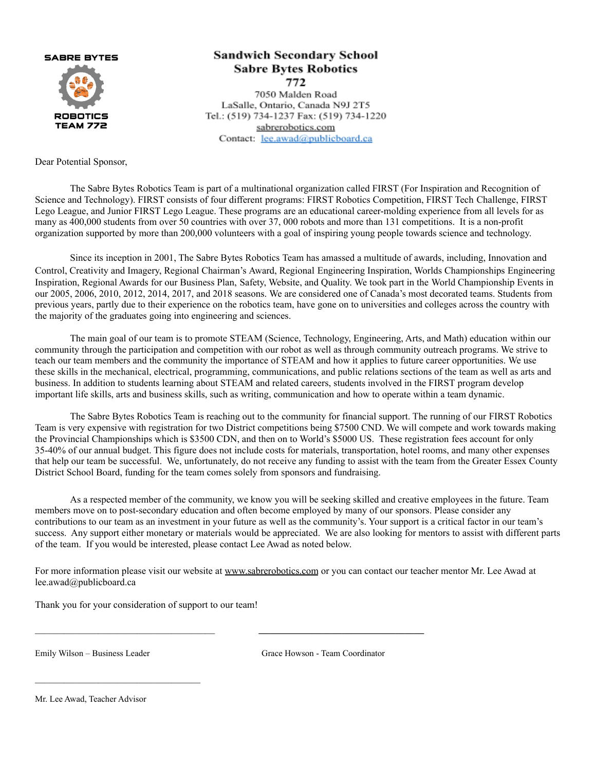**SABRE BYTES** 



## **Sandwich Secondary School Sabre Bytes Robotics** 772

7050 Malden Road LaSalle, Ontario, Canada N9J 2T5 Tel.: (519) 734-1237 Fax: (519) 734-1220 sabrerobotics.com Contact: lee.awad@publicboard.ca

Dear Potential Sponsor,

The Sabre Bytes Robotics Team is part of a multinational organization called FIRST (For Inspiration and Recognition of Science and Technology). FIRST consists of four different programs: FIRST Robotics Competition, FIRST Tech Challenge, FIRST Lego League, and Junior FIRST Lego League. These programs are an educational career-molding experience from all levels for as many as 400,000 students from over 50 countries with over 37, 000 robots and more than 131 competitions. It is a non-profit organization supported by more than 200,000 volunteers with a goal of inspiring young people towards science and technology.

Since its inception in 2001, The Sabre Bytes Robotics Team has amassed a multitude of awards, including, Innovation and Control, Creativity and Imagery, Regional Chairman's Award, Regional Engineering Inspiration, Worlds Championships Engineering Inspiration, Regional Awards for our Business Plan, Safety, Website, and Quality. We took part in the World Championship Events in our 2005, 2006, 2010, 2012, 2014, 2017, and 2018 seasons. We are considered one of Canada's most decorated teams. Students from previous years, partly due to their experience on the robotics team, have gone on to universities and colleges across the country with the majority of the graduates going into engineering and sciences.

The main goal of our team is to promote STEAM (Science, Technology, Engineering, Arts, and Math) education within our community through the participation and competition with our robot as well as through community outreach programs. We strive to teach our team members and the community the importance of STEAM and how it applies to future career opportunities. We use these skills in the mechanical, electrical, programming, communications, and public relations sections of the team as well as arts and business. In addition to students learning about STEAM and related careers, students involved in the FIRST program develop important life skills, arts and business skills, such as writing, communication and how to operate within a team dynamic.

The Sabre Bytes Robotics Team is reaching out to the community for financial support. The running of our FIRST Robotics Team is very expensive with registration for two District competitions being \$7500 CND. We will compete and work towards making the Provincial Championships which is \$3500 CDN, and then on to World's \$5000 US. These registration fees account for only 35-40% of our annual budget. This figure does not include costs for materials, transportation, hotel rooms, and many other expenses that help our team be successful. We, unfortunately, do not receive any funding to assist with the team from the Greater Essex County District School Board, funding for the team comes solely from sponsors and fundraising.

As a respected member of the community, we know you will be seeking skilled and creative employees in the future. Team members move on to post-secondary education and often become employed by many of our sponsors. Please consider any contributions to our team as an investment in your future as well as the community's. Your support is a critical factor in our team's success. Any support either monetary or materials would be appreciated. We are also looking for mentors to assist with different parts of the team. If you would be interested, please contact Lee Awad as noted below.

For more information please visit our website at [www.sabrerobotics.com](http://www.sabrerobotics.com/) or you can contact our teacher mentor Mr. Lee Awad at lee.awad@publicboard.ca

 $\mathcal{L}_\text{max}$ 

Thank you for your consideration of support to our team!

Emily Wilson – Business Leader Grace Howson - Team Coordinator

Mr. Lee Awad, Teacher Advisor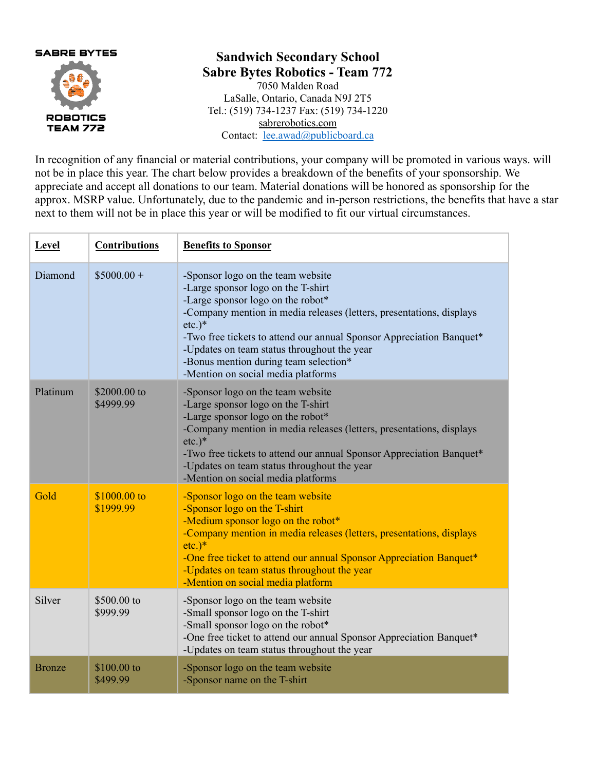

## **Sandwich Secondary School Sabre Bytes Robotics - Team 772**

7050 Malden Road LaSalle, Ontario, Canada N9J 2T5 Tel.: (519) 734-1237 Fax: (519) 734-1220 sabrerobotics.com Contact: [lee.awad@publicboard.ca](mailto:lee.awad@publicboard.ca)

In recognition of any financial or material contributions, your company will be promoted in various ways. will not be in place this year. The chart below provides a breakdown of the benefits of your sponsorship. We appreciate and accept all donations to our team. Material donations will be honored as sponsorship for the approx. MSRP value. Unfortunately, due to the pandemic and in-person restrictions, the benefits that have a star next to them will not be in place this year or will be modified to fit our virtual circumstances.

| Level         | <b>Contributions</b>      | <b>Benefits to Sponsor</b>                                                                                                                                                                                                                                                                                                                                                                                        |
|---------------|---------------------------|-------------------------------------------------------------------------------------------------------------------------------------------------------------------------------------------------------------------------------------------------------------------------------------------------------------------------------------------------------------------------------------------------------------------|
| Diamond       | $$5000.00+$               | -Sponsor logo on the team website<br>-Large sponsor logo on the T-shirt<br>-Large sponsor logo on the robot*<br>-Company mention in media releases (letters, presentations, displays<br>$etc.$ <sup>*</sup><br>-Two free tickets to attend our annual Sponsor Appreciation Banquet*<br>-Updates on team status throughout the year<br>-Bonus mention during team selection*<br>-Mention on social media platforms |
| Platinum      | \$2000.00 to<br>\$4999.99 | -Sponsor logo on the team website<br>-Large sponsor logo on the T-shirt<br>-Large sponsor logo on the robot*<br>-Company mention in media releases (letters, presentations, displays<br>$etc.$ <sup>*</sup><br>-Two free tickets to attend our annual Sponsor Appreciation Banquet*<br>-Updates on team status throughout the year<br>-Mention on social media platforms                                          |
| Gold          | \$1000.00 to<br>\$1999.99 | -Sponsor logo on the team website<br>-Sponsor logo on the T-shirt<br>-Medium sponsor logo on the robot*<br>-Company mention in media releases (letters, presentations, displays<br>$etc.$ <sup>*</sup><br>-One free ticket to attend our annual Sponsor Appreciation Banquet*<br>-Updates on team status throughout the year<br>-Mention on social media platform                                                 |
| Silver        | \$500.00 to<br>\$999.99   | -Sponsor logo on the team website<br>-Small sponsor logo on the T-shirt<br>-Small sponsor logo on the robot*<br>-One free ticket to attend our annual Sponsor Appreciation Banquet*<br>-Updates on team status throughout the year                                                                                                                                                                                |
| <b>Bronze</b> | $$100.00$ to<br>\$499.99  | -Sponsor logo on the team website<br>-Sponsor name on the T-shirt                                                                                                                                                                                                                                                                                                                                                 |